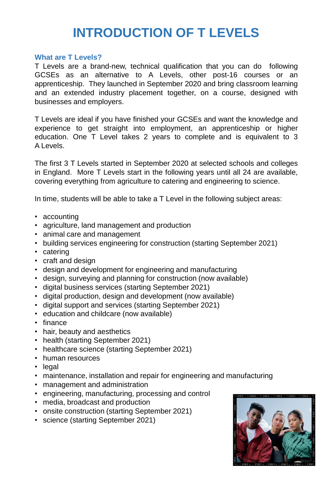# **INTRODUCTION OF T LEVELS**

#### **What are T Levels?**

T Levels are a brand-new, technical qualification that you can do following GCSEs as an alternative to A Levels, other post-16 courses or an apprenticeship. They launched in September 2020 and bring classroom learning and an extended industry placement together, on a course, designed with businesses and employers.

T Levels are ideal if you have finished your GCSEs and want the knowledge and experience to get straight into employment, an apprenticeship or higher education. One T Level takes 2 years to complete and is equivalent to 3 A Levels.

The first 3 T Levels started in September 2020 at selected schools and colleges in England. More T Levels start in the following years until all 24 are available, covering everything from agriculture to catering and engineering to science.

In time, students will be able to take a T Level in the following subject areas:

- accounting
- agriculture, land management and production
- animal care and management
- building services engineering for construction (starting September 2021)
- catering
- craft and design
- design and development for engineering and manufacturing
- design, surveying and planning for construction (now available)
- digital business services (starting September 2021)
- digital production, design and development (now available)
- digital support and services (starting September 2021)
- education and childcare (now available)
- finance
- hair, beauty and aesthetics
- health (starting September 2021)
- healthcare science (starting September 2021)
- human resources
- legal
- maintenance, installation and repair for engineering and manufacturing
- management and administration
- engineering, manufacturing, processing and control
- media, broadcast and production
- onsite construction (starting September 2021)
- science (starting September 2021)

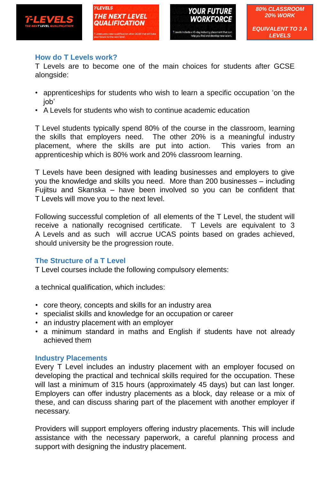





# **How do T Levels work?**

T Levels are to become one of the main choices for students after GCSE alongside:

- apprenticeships for students who wish to learn a specific occupation 'on the job'
- A Levels for students who wish to continue academic education

T Level students typically spend 80% of the course in the classroom, learning the skills that employers need. The other 20% is a meaningful industry placement, where the skills are put into action. This varies from an apprenticeship which is 80% work and 20% classroom learning.

T Levels have been designed with leading businesses and employers to give you the knowledge and skills you need. More than 200 businesses – including Fujitsu and Skanska – have been involved so you can be confident that T Levels will move you to the next level.

Following successful completion of all elements of the T Level, the student will receive a nationally recognised certificate. T Levels are equivalent to 3 A Levels and as such will accrue UCAS points based on grades achieved, should university be the progression route.

## **The Structure of a T Level**

T Level courses include the following compulsory elements:

a technical qualification, which includes:

- core theory, concepts and skills for an industry area
- specialist skills and knowledge for an occupation or career
- an industry placement with an employer
- a minimum standard in maths and English if students have not already achieved them

## **Industry Placements**

Every T Level includes an industry placement with an employer focused on developing the practical and technical skills required for the occupation. These will last a minimum of 315 hours (approximately 45 days) but can last longer. Employers can offer industry placements as a block, day release or a mix of these, and can discuss sharing part of the placement with another employer if necessary.

Providers will support employers offering industry placements. This will include assistance with the necessary paperwork, a careful planning process and support with designing the industry placement.